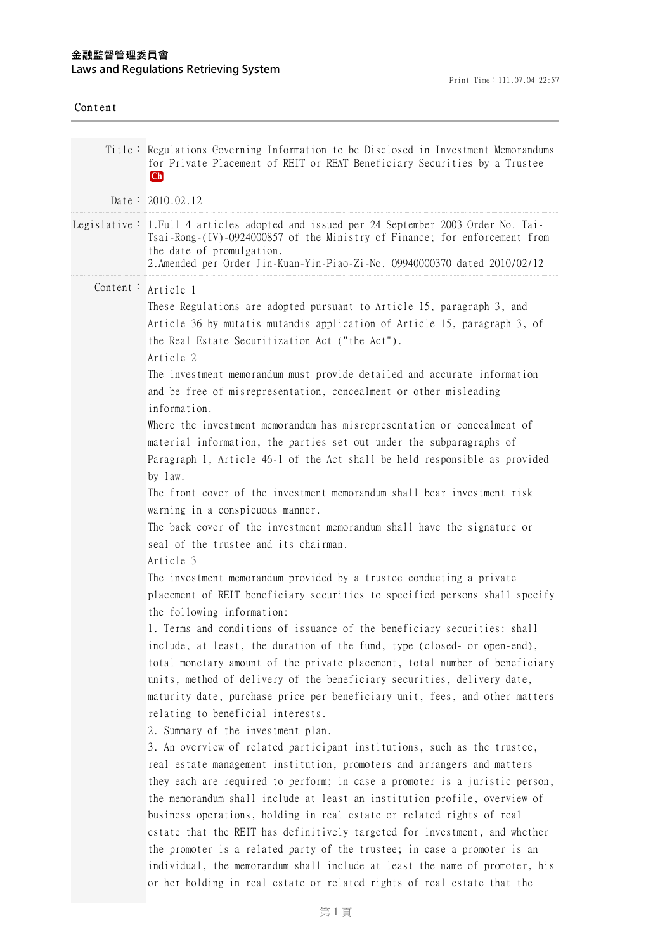## **⾦融監督管理委員會 Laws and Regulations Retrieving System**

| Content |                                                                                                                                                                                                                                                                                                                                                                                                                                                                                                                                                                                                                                                                                                                                                                                                                                                                                                                                                                                                                                                                                                                                                                                                                                                                                                                                                                                                                                                                                                                                                                                                                                                                                                                                                                                                                                                                                                                                                                                                                                                   |
|---------|---------------------------------------------------------------------------------------------------------------------------------------------------------------------------------------------------------------------------------------------------------------------------------------------------------------------------------------------------------------------------------------------------------------------------------------------------------------------------------------------------------------------------------------------------------------------------------------------------------------------------------------------------------------------------------------------------------------------------------------------------------------------------------------------------------------------------------------------------------------------------------------------------------------------------------------------------------------------------------------------------------------------------------------------------------------------------------------------------------------------------------------------------------------------------------------------------------------------------------------------------------------------------------------------------------------------------------------------------------------------------------------------------------------------------------------------------------------------------------------------------------------------------------------------------------------------------------------------------------------------------------------------------------------------------------------------------------------------------------------------------------------------------------------------------------------------------------------------------------------------------------------------------------------------------------------------------------------------------------------------------------------------------------------------------|
|         | Title: Regulations Governing Information to be Disclosed in Investment Memorandums<br>for Private Placement of REIT or REAT Beneficiary Securities by a Trustee<br> Ch                                                                                                                                                                                                                                                                                                                                                                                                                                                                                                                                                                                                                                                                                                                                                                                                                                                                                                                                                                                                                                                                                                                                                                                                                                                                                                                                                                                                                                                                                                                                                                                                                                                                                                                                                                                                                                                                            |
|         | Date: 2010.02.12                                                                                                                                                                                                                                                                                                                                                                                                                                                                                                                                                                                                                                                                                                                                                                                                                                                                                                                                                                                                                                                                                                                                                                                                                                                                                                                                                                                                                                                                                                                                                                                                                                                                                                                                                                                                                                                                                                                                                                                                                                  |
|         | Legislative: 1. Full 4 articles adopted and issued per 24 September 2003 Order No. Tai-<br>Tsai-Rong-(IV)-0924000857 of the Ministry of Finance; for enforcement from<br>the date of promulgation.<br>2.Amended per Order Jin-Kuan-Yin-Piao-Zi-No. 09940000370 dated 2010/02/12                                                                                                                                                                                                                                                                                                                                                                                                                                                                                                                                                                                                                                                                                                                                                                                                                                                                                                                                                                                                                                                                                                                                                                                                                                                                                                                                                                                                                                                                                                                                                                                                                                                                                                                                                                   |
|         | Content: Article 1<br>These Regulations are adopted pursuant to Article 15, paragraph 3, and<br>Article 36 by mutatis mutandis application of Article 15, paragraph 3, of<br>the Real Estate Securitization Act ("the Act").<br>Article 2<br>The investment memorandum must provide detailed and accurate information<br>and be free of misrepresentation, concealment or other misleading<br>information.<br>Where the investment memorandum has misrepresentation or concealment of<br>material information, the parties set out under the subparagraphs of<br>Paragraph 1, Article 46-1 of the Act shall be held responsible as provided<br>by law.<br>The front cover of the investment memorandum shall bear investment risk<br>warning in a conspicuous manner.<br>The back cover of the investment memorandum shall have the signature or<br>seal of the trustee and its chairman.<br>Article 3<br>The investment memorandum provided by a trustee conducting a private<br>placement of REIT beneficiary securities to specified persons shall specify<br>the following information:<br>1. Terms and conditions of issuance of the beneficiary securities: shall<br>include, at least, the duration of the fund, type (closed- or open-end),<br>total monetary amount of the private placement, total number of beneficiary<br>units, method of delivery of the beneficiary securities, delivery date,<br>maturity date, purchase price per beneficiary unit, fees, and other matters<br>relating to beneficial interests.<br>2. Summary of the investment plan.<br>3. An overview of related participant institutions, such as the trustee,<br>real estate management institution, promoters and arrangers and matters<br>they each are required to perform; in case a promoter is a juristic person,<br>the memorandum shall include at least an institution profile, overview of<br>business operations, holding in real estate or related rights of real<br>estate that the REIT has definitively targeted for investment, and whether |
|         | the promoter is a related party of the trustee; in case a promoter is an<br>individual, the memorandum shall include at least the name of promoter, his<br>or her holding in real estate or related rights of real estate that the                                                                                                                                                                                                                                                                                                                                                                                                                                                                                                                                                                                                                                                                                                                                                                                                                                                                                                                                                                                                                                                                                                                                                                                                                                                                                                                                                                                                                                                                                                                                                                                                                                                                                                                                                                                                                |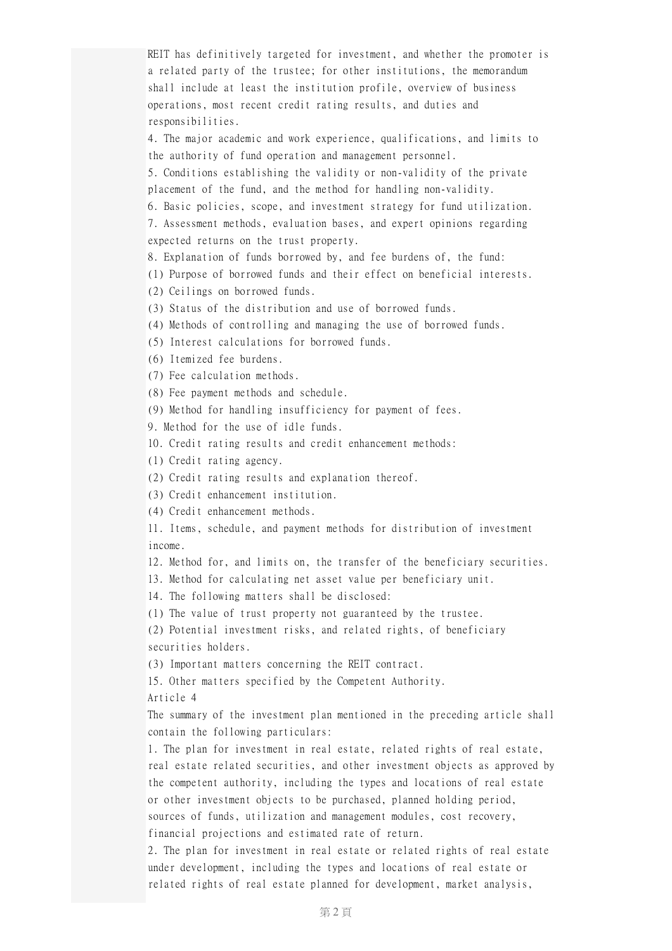REIT has definitively targeted for investment, and whether the promoter is a related party of the trustee; for other institutions, the memorandum shall include at least the institution profile, overview of business operations, most recent credit rating results, and duties and responsibilities. 4. The major academic and work experience, qualifications, and limits to the authority of fund operation and management personnel. 5. Conditions establishing the validity or non-validity of the private placement of the fund, and the method for handling non-validity. 6. Basic policies, scope, and investment strategy for fund utilization. 7. Assessment methods, evaluation bases, and expert opinions regarding expected returns on the trust property. 8. Explanation of funds borrowed by, and fee burdens of, the fund: (1) Purpose of borrowed funds and their effect on beneficial interests. (2) Ceilings on borrowed funds. (3) Status of the distribution and use of borrowed funds. (4) Methods of controlling and managing the use of borrowed funds. (5) Interest calculations for borrowed funds. (6) Itemized fee burdens. (7) Fee calculation methods. (8) Fee payment methods and schedule. (9) Method for handling insufficiency for payment of fees. 9. Method for the use of idle funds. 10. Credit rating results and credit enhancement methods: (1) Credit rating agency. (2) Credit rating results and explanation thereof. (3) Credit enhancement institution. (4) Credit enhancement methods. 11. Items, schedule, and payment methods for distribution of investment income. 12. Method for, and limits on, the transfer of the beneficiary securities. 13. Method for calculating net asset value per beneficiary unit. 14. The following matters shall be disclosed: (1) The value of trust property not guaranteed by the trustee. (2) Potential investment risks, and related rights, of beneficiary securities holders. (3) Important matters concerning the REIT contract. 15. Other matters specified by the Competent Authority. Article 4 The summary of the investment plan mentioned in the preceding article shall contain the following particulars: 1. The plan for investment in real estate, related rights of real estate, real estate related securities, and other investment objects as approved by the competent authority, including the types and locations of real estate or other investment objects to be purchased, planned holding period, sources of funds, utilization and management modules, cost recovery, financial projections and estimated rate of return. 2. The plan for investment in real estate or related rights of real estate under development, including the types and locations of real estate or related rights of real estate planned for development, market analysis,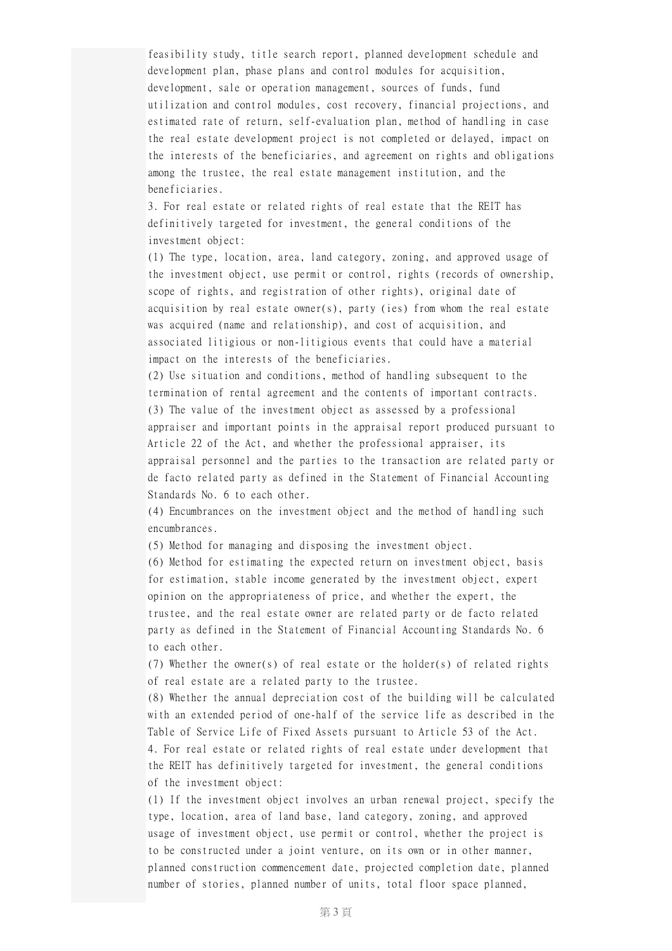feasibility study, title search report, planned development schedule and development plan, phase plans and control modules for acquisition, development, sale or operation management, sources of funds, fund utilization and control modules, cost recovery, financial projections, and estimated rate of return, self-evaluation plan, method of handling in case the real estate development project is not completed or delayed, impact on the interests of the beneficiaries, and agreement on rights and obligations among the trustee, the real estate management institution, and the beneficiaries.

3. For real estate or related rights of real estate that the REIT has definitively targeted for investment, the general conditions of the investment object:

(1) The type, location, area, land category, zoning, and approved usage of the investment object, use permit or control, rights (records of ownership, scope of rights, and registration of other rights), original date of acquisition by real estate owner(s), party (ies) from whom the real estate was acquired (name and relationship), and cost of acquisition, and associated litigious or non-litigious events that could have a material impact on the interests of the beneficiaries.

(2) Use situation and conditions, method of handling subsequent to the termination of rental agreement and the contents of important contracts. (3) The value of the investment object as assessed by a professional appraiser and important points in the appraisal report produced pursuant to Article 22 of the Act, and whether the professional appraiser, its appraisal personnel and the parties to the transaction are related party or de facto related party as defined in the Statement of Financial Accounting Standards No. 6 to each other.

(4) Encumbrances on the investment object and the method of handling such encumbrances.

(5) Method for managing and disposing the investment object.

(6) Method for estimating the expected return on investment object, basis for estimation, stable income generated by the investment object, expert opinion on the appropriateness of price, and whether the expert, the trustee, and the real estate owner are related party or de facto related party as defined in the Statement of Financial Accounting Standards No. 6 to each other.

(7) Whether the owner(s) of real estate or the holder(s) of related rights of real estate are a related party to the trustee.

(8) Whether the annual depreciation cost of the building will be calculated with an extended period of one-half of the service life as described in the Table of Service Life of Fixed Assets pursuant to Article 53 of the Act. 4. For real estate or related rights of real estate under development that the REIT has definitively targeted for investment, the general conditions of the investment object:

(1) If the investment object involves an urban renewal project, specify the type, location, area of land base, land category, zoning, and approved usage of investment object, use permit or control, whether the project is to be constructed under a joint venture, on its own or in other manner, planned construction commencement date, projected completion date, planned number of stories, planned number of units, total floor space planned,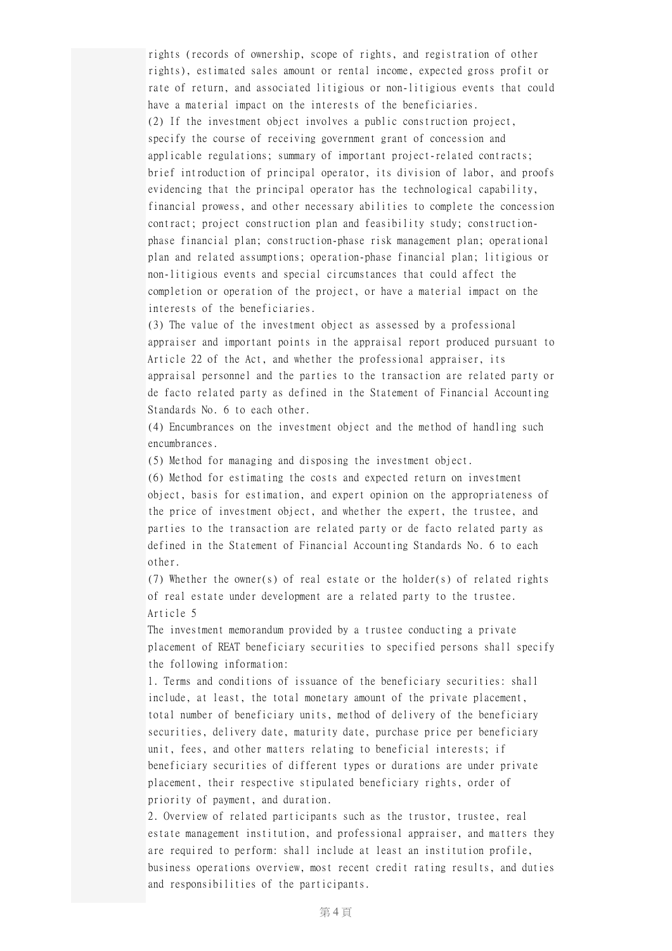rights (records of ownership, scope of rights, and registration of other rights), estimated sales amount or rental income, expected gross profit or rate of return, and associated litigious or non-litigious events that could have a material impact on the interests of the beneficiaries. (2) If the investment object involves a public construction project, specify the course of receiving government grant of concession and applicable regulations; summary of important project-related contracts; brief introduction of principal operator, its division of labor, and proofs evidencing that the principal operator has the technological capability, financial prowess, and other necessary abilities to complete the concession contract; project construction plan and feasibility study; constructionphase financial plan; construction-phase risk management plan; operational plan and related assumptions; operation-phase financial plan; litigious or non-litigious events and special circumstances that could affect the completion or operation of the project, or have a material impact on the interests of the beneficiaries.

(3) The value of the investment object as assessed by a professional appraiser and important points in the appraisal report produced pursuant to Article 22 of the Act, and whether the professional appraiser, its appraisal personnel and the parties to the transaction are related party or de facto related party as defined in the Statement of Financial Accounting Standards No. 6 to each other.

(4) Encumbrances on the investment object and the method of handling such encumbrances.

(5) Method for managing and disposing the investment object.

(6) Method for estimating the costs and expected return on investment object, basis for estimation, and expert opinion on the appropriateness of the price of investment object, and whether the expert, the trustee, and parties to the transaction are related party or de facto related party as defined in the Statement of Financial Accounting Standards No. 6 to each other.

(7) Whether the owner(s) of real estate or the holder(s) of related rights of real estate under development are a related party to the trustee. Article 5

The investment memorandum provided by a trustee conducting a private placement of REAT beneficiary securities to specified persons shall specify the following information:

1. Terms and conditions of issuance of the beneficiary securities: shall include, at least, the total monetary amount of the private placement, total number of beneficiary units, method of delivery of the beneficiary securities, delivery date, maturity date, purchase price per beneficiary unit, fees, and other matters relating to beneficial interests; if beneficiary securities of different types or durations are under private placement, their respective stipulated beneficiary rights, order of priority of payment, and duration.

2. Overview of related participants such as the trustor, trustee, real estate management institution, and professional appraiser, and matters they are required to perform: shall include at least an institution profile, business operations overview, most recent credit rating results, and duties and responsibilities of the participants.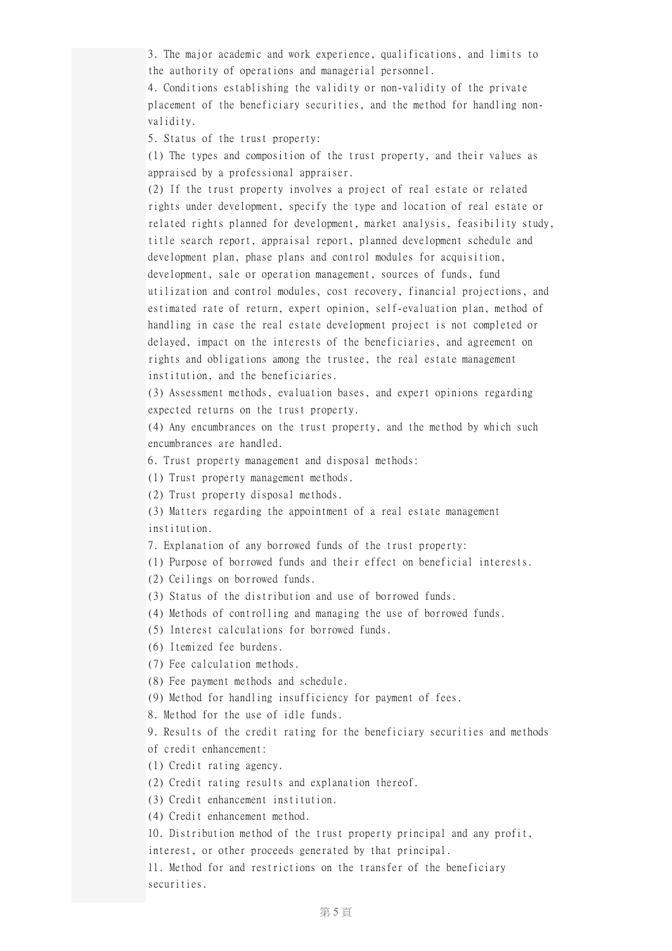3. The major academic and work experience, qualifications, and limits to the authority of operations and managerial personnel.

4. Conditions establishing the validity or non-validity of the private placement of the beneficiary securities, and the method for handling nonvalidity.

5. Status of the trust property:

(1) The types and composition of the trust property, and their values as appraised by a professional appraiser.

(2) If the trust property involves a project of real estate or related rights under development, specify the type and location of real estate or related rights planned for development, market analysis, feasibility study, title search report, appraisal report, planned development schedule and development plan, phase plans and control modules for acquisition, development, sale or operation management, sources of funds, fund utilization and control modules, cost recovery, financial projections, and estimated rate of return, expert opinion, self-evaluation plan, method of handling in case the real estate development project is not completed or delayed, impact on the interests of the beneficiaries, and agreement on rights and obligations among the trustee, the real estate management institution, and the beneficiaries.

(3) Assessment methods, evaluation bases, and expert opinions regarding expected returns on the trust property.

(4) Any encumbrances on the trust property, and the method by which such encumbrances are handled.

6. Trust property management and disposal methods:

(1) Trust property management methods.

(2) Trust property disposal methods.

(3) Matters regarding the appointment of a real estate management institution.

7. Explanation of any borrowed funds of the trust property:

(1) Purpose of borrowed funds and their effect on beneficial interests.

(2) Ceilings on borrowed funds.

(3) Status of the distribution and use of borrowed funds.

(4) Methods of controlling and managing the use of borrowed funds.

(5) Interest calculations for borrowed funds.

(6) Itemized fee burdens.

(7) Fee calculation methods.

(8) Fee payment methods and schedule.

(9) Method for handling insufficiency for payment of fees.

8. Method for the use of idle funds.

9. Results of the credit rating for the beneficiary securities and methods of credit enhancement:

(1) Credit rating agency.

(2) Credit rating results and explanation thereof.

(3) Credit enhancement institution.

(4) Credit enhancement method.

10. Distribution method of the trust property principal and any profit,

interest, or other proceeds generated by that principal.

11. Method for and restrictions on the transfer of the beneficiary securities.